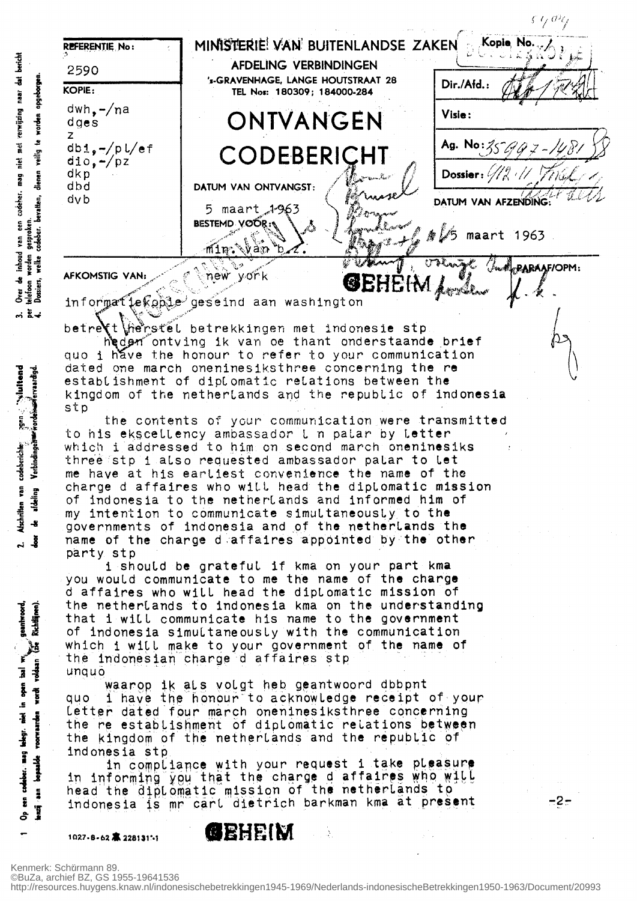

informatiekoble geseind aan washington

bericht

inhoud van een codeber. mag niet met verwijzing naar dat

 $\bullet$ 

bear of the second

Atschriften van codeberichte

Verbindingenwerk orden wie rvaardigd.

afdeling

-8

ڴۣ  $\mathbf{r}$ 

geantwoord, Richtlänen).

 $\frac{1}{\sqrt{2}}$ 

open bal we

| telegr. niet |<br>voorwaarden

codeber. mag  $hat{b}$ 

ž  $\ddot{\mathbf{z}}$ 

Ţ දු

.s

 $rac{1}{2}$ 

 $m \times 4$ 

betrett herstel betrekkingen met indonesie stp neder ontving ik van de thant onderstaande brief

quo i have the honour to refer to your communication dated one march oneninesiksthree concerning the re establishment of diplomatic relations between the kingdom of the netherlands and the republic of indonesia stp

the contents of your communication were transmitted to his ekscellency ambassador I n palar by Letter which i addressed to him on second march oneninesiks three stp i also requested ambassador palar to let me have at his eartiest convenience the name of the change d affaires who will head the diplomatic mission of indonesia to the netherlands and informed him of my intention to communicate simultaneously to the governments of indonesia and of the netherlands the name of the charge d affaires appointed by the other party stp

i should be grateful if kma on your part kma you would communicate to me the name of the charge d affaires who will head the diplomatic mission of the netherlands to indonesia kma on the understanding that i will communicate his name to the government of indonesia simultaneously with the communication which i will make to your government of the name of the indonesian charge d affaires stp unquo

waarop ik als volgt heb geantwoord dbbpnt i have the honour to acknowledge receipt of your auo Letter dated four march oneninesiksthree concerning the re establishment of diplomatic relations between the kingdom of the netherlands and the republic of indonesia stp

in compliance with your request i take pleasure in informing you that the charge d'affaires who will head the diplomatic mission of the netherlands to indonesia is mr cart dietrich barkman kma at present

1027-8-62 本 2281311-1

**GEHEIM** 

http://resources.huygens.knaw.nl/indonesischebetrekkingen1945-1969/Nederlands-indonesischeBetrekkingen1950-1963/Document/20993

.2.